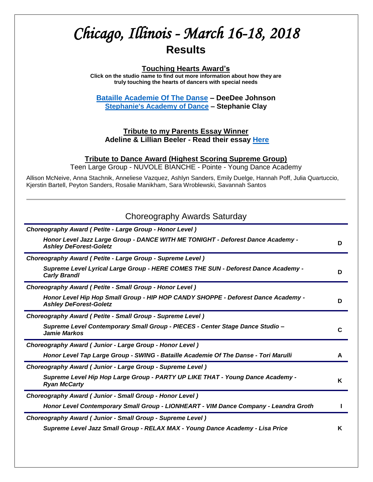# *Chicago, Illinois - March 16-18, 2018*  **Results**

### **Touching Hearts Award's**

**Click on the studio name to find out more information about how they are truly touching the hearts of dancers with special needs**

**[Bataille Academie Of The Danse](http://www.batailledanse.com/index.php/integrity-dance-project/shining-stars) – DeeDee Johnson [Stephanie's Academy of Dance](http://stephaniesacademyofdance.com/dance-classes-for-all-abilities/) – Stephanie Clay**

### **Tribute to my Parents Essay Winner Adeline & Lillian Beeler - Read their essay [Here](http://tributetodance.com/wp-content/uploads/2018/03/chicagoessay18.pdf)**

### **Tribute to Dance Award (Highest Scoring Supreme Group)**

Teen Large Group - NUVOLE BIANCHE - Pointe - Young Dance Academy

Allison McNeive, Anna Stachnik, Anneliese Vazquez, Ashlyn Sanders, Emily Duelge, Hannah Poff, Julia Quartuccio, Kjerstin Bartell, Peyton Sanders, Rosalie Manikham, Sara Wroblewski, Savannah Santos

| Choreography Awards Saturday                                                                                       |   |
|--------------------------------------------------------------------------------------------------------------------|---|
| Choreography Award (Petite - Large Group - Honor Level)                                                            |   |
| Honor Level Jazz Large Group - DANCE WITH ME TONIGHT - Deforest Dance Academy -<br><b>Ashley DeForest-Goletz</b>   | D |
| Choreography Award ( Petite - Large Group - Supreme Level)                                                         |   |
| Supreme Level Lyrical Large Group - HERE COMES THE SUN - Deforest Dance Academy -<br><b>Carly Brandl</b>           | D |
| Choreography Award (Petite - Small Group - Honor Level)                                                            |   |
| Honor Level Hip Hop Small Group - HIP HOP CANDY SHOPPE - Deforest Dance Academy -<br><b>Ashley DeForest-Goletz</b> | D |
| Choreography Award ( Petite - Small Group - Supreme Level)                                                         |   |
| Supreme Level Contemporary Small Group - PIECES - Center Stage Dance Studio -<br><b>Jamie Markos</b>               | C |
| Choreography Award (Junior - Large Group - Honor Level)                                                            |   |
| Honor Level Tap Large Group - SWING - Bataille Academie Of The Danse - Tori Marulli                                | A |
| Choreography Award (Junior - Large Group - Supreme Level)                                                          |   |
| Supreme Level Hip Hop Large Group - PARTY UP LIKE THAT - Young Dance Academy -<br><b>Ryan McCarty</b>              | K |
| Choreography Award (Junior - Small Group - Honor Level)                                                            |   |
| Honor Level Contemporary Small Group - LIONHEART - VIM Dance Company - Leandra Groth                               |   |
| Choreography Award (Junior - Small Group - Supreme Level)                                                          |   |
| Supreme Level Jazz Small Group - RELAX MAX - Young Dance Academy - Lisa Price                                      | ĸ |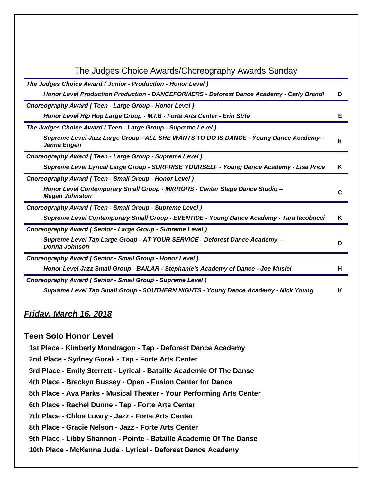| The Judges Choice Awards/Choreography Awards Sunday                                                   |   |
|-------------------------------------------------------------------------------------------------------|---|
| The Judges Choice Award (Junior - Production - Honor Level)                                           |   |
| Honor Level Production Production - DANCEFORMERS - Deforest Dance Academy - Carly Brandl              | D |
| Choreography Award (Teen - Large Group - Honor Level)                                                 |   |
| Honor Level Hip Hop Large Group - M.I.B - Forte Arts Center - Erin Strle                              | Е |
| The Judges Choice Award (Teen - Large Group - Supreme Level)                                          |   |
| Supreme Level Jazz Large Group - ALL SHE WANTS TO DO IS DANCE - Young Dance Academy -<br>Jenna Engen  | K |
| Choreography Award (Teen - Large Group - Supreme Level)                                               |   |
| Supreme Level Lyrical Large Group - SURPRISE YOURSELF - Young Dance Academy - Lisa Price              | ĸ |
| Choreography Award (Teen - Small Group - Honor Level)                                                 |   |
| Honor Level Contemporary Small Group - MIRRORS - Center Stage Dance Studio -<br><b>Megan Johnston</b> | C |
| Choreography Award (Teen - Small Group - Supreme Level)                                               |   |
| Supreme Level Contemporary Small Group - EVENTIDE - Young Dance Academy - Tara lacobucci              | ĸ |
| Choreography Award (Senior - Large Group - Supreme Level)                                             |   |
| Supreme Level Tap Large Group - AT YOUR SERVICE - Deforest Dance Academy -<br>Donna Johnson           | D |
| <b>Choreography Award (Senior - Small Group - Honor Level)</b>                                        |   |
| Honor Level Jazz Small Group - BAILAR - Stephanie's Academy of Dance - Joe Musiel                     | н |
| Choreography Award (Senior - Small Group - Supreme Level)                                             |   |
| Supreme Level Tap Small Group - SOUTHERN NIGHTS - Young Dance Academy - Nick Young                    | K |

# *Friday, March 16, 2018*

# **Teen Solo Honor Level**

**1st Place - Kimberly Mondragon - Tap - Deforest Dance Academy**

**2nd Place - Sydney Gorak - Tap - Forte Arts Center**

**3rd Place - Emily Sterrett - Lyrical - Bataille Academie Of The Danse**

**4th Place - Breckyn Bussey - Open - Fusion Center for Dance**

**5th Place - Ava Parks - Musical Theater - Your Performing Arts Center**

**6th Place - Rachel Dunne - Tap - Forte Arts Center**

**7th Place - Chloe Lowry - Jazz - Forte Arts Center**

**8th Place - Gracie Nelson - Jazz - Forte Arts Center**

**9th Place - Libby Shannon - Pointe - Bataille Academie Of The Danse**

**10th Place - McKenna Juda - Lyrical - Deforest Dance Academy**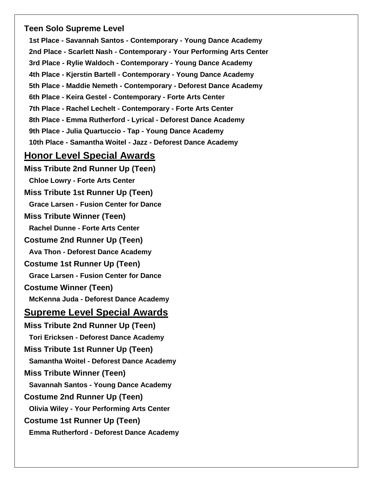# **Teen Solo Supreme Level**

**1st Place - Savannah Santos - Contemporary - Young Dance Academy 2nd Place - Scarlett Nash - Contemporary - Your Performing Arts Center 3rd Place - Rylie Waldoch - Contemporary - Young Dance Academy 4th Place - Kjerstin Bartell - Contemporary - Young Dance Academy 5th Place - Maddie Nemeth - Contemporary - Deforest Dance Academy 6th Place - Keira Gestel - Contemporary - Forte Arts Center 7th Place - Rachel Lechelt - Contemporary - Forte Arts Center 8th Place - Emma Rutherford - Lyrical - Deforest Dance Academy 9th Place - Julia Quartuccio - Tap - Young Dance Academy 10th Place - Samantha Woitel - Jazz - Deforest Dance Academy**

# **Honor Level Special Awards**

**Miss Tribute 2nd Runner Up (Teen) Chloe Lowry - Forte Arts Center Miss Tribute 1st Runner Up (Teen) Grace Larsen - Fusion Center for Dance Miss Tribute Winner (Teen) Rachel Dunne - Forte Arts Center Costume 2nd Runner Up (Teen) Ava Thon - Deforest Dance Academy Costume 1st Runner Up (Teen) Grace Larsen - Fusion Center for Dance Costume Winner (Teen) McKenna Juda - Deforest Dance Academy Supreme Level Special Awards Miss Tribute 2nd Runner Up (Teen) Tori Ericksen - Deforest Dance Academy Miss Tribute 1st Runner Up (Teen) Samantha Woitel - Deforest Dance Academy Miss Tribute Winner (Teen) Savannah Santos - Young Dance Academy Costume 2nd Runner Up (Teen) Olivia Wiley - Your Performing Arts Center Costume 1st Runner Up (Teen) Emma Rutherford - Deforest Dance Academy**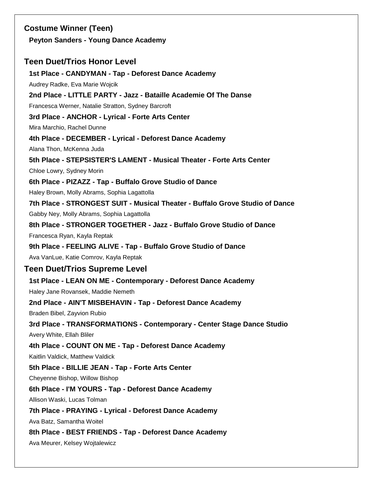# **Costume Winner (Teen) Peyton Sanders - Young Dance Academy Teen Duet/Trios Honor Level 1st Place - CANDYMAN - Tap - Deforest Dance Academy** Audrey Radke, Eva Marie Wojcik **2nd Place - LITTLE PARTY - Jazz - Bataille Academie Of The Danse** Francesca Werner, Natalie Stratton, Sydney Barcroft **3rd Place - ANCHOR - Lyrical - Forte Arts Center** Mira Marchio, Rachel Dunne **4th Place - DECEMBER - Lyrical - Deforest Dance Academy** Alana Thon, McKenna Juda **5th Place - STEPSISTER'S LAMENT - Musical Theater - Forte Arts Center** Chloe Lowry, Sydney Morin **6th Place - PIZAZZ - Tap - Buffalo Grove Studio of Dance** Haley Brown, Molly Abrams, Sophia Lagattolla **7th Place - STRONGEST SUIT - Musical Theater - Buffalo Grove Studio of Dance** Gabby Ney, Molly Abrams, Sophia Lagattolla **8th Place - STRONGER TOGETHER - Jazz - Buffalo Grove Studio of Dance** Francesca Ryan, Kayla Reptak **9th Place - FEELING ALIVE - Tap - Buffalo Grove Studio of Dance** Ava VanLue, Katie Comrov, Kayla Reptak **Teen Duet/Trios Supreme Level 1st Place - LEAN ON ME - Contemporary - Deforest Dance Academy** Haley Jane Rovansek, Maddie Nemeth **2nd Place - AIN'T MISBEHAVIN - Tap - Deforest Dance Academy** Braden Bibel, Zayvion Rubio **3rd Place - TRANSFORMATIONS - Contemporary - Center Stage Dance Studio** Avery White, Ellah Bliler **4th Place - COUNT ON ME - Tap - Deforest Dance Academy** Kaitlin Valdick, Matthew Valdick **5th Place - BILLIE JEAN - Tap - Forte Arts Center** Cheyenne Bishop, Willow Bishop **6th Place - I'M YOURS - Tap - Deforest Dance Academy** Allison Waski, Lucas Tolman **7th Place - PRAYING - Lyrical - Deforest Dance Academy** Ava Batz, Samantha Woitel **8th Place - BEST FRIENDS - Tap - Deforest Dance Academy** Ava Meurer, Kelsey Wojtalewicz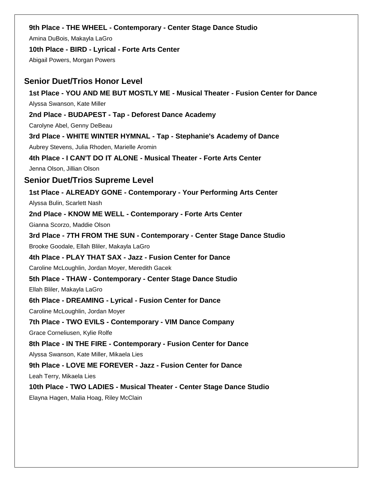### **9th Place - THE WHEEL - Contemporary - Center Stage Dance Studio**

Amina DuBois, Makayla LaGro

**10th Place - BIRD - Lyrical - Forte Arts Center**

Abigail Powers, Morgan Powers

### **Senior Duet/Trios Honor Level**

**1st Place - YOU AND ME BUT MOSTLY ME - Musical Theater - Fusion Center for Dance** Alyssa Swanson, Kate Miller

**2nd Place - BUDAPEST - Tap - Deforest Dance Academy**

Carolyne Abel, Genny DeBeau

**3rd Place - WHITE WINTER HYMNAL - Tap - Stephanie's Academy of Dance** Aubrey Stevens, Julia Rhoden, Marielle Aromin

**4th Place - I CAN'T DO IT ALONE - Musical Theater - Forte Arts Center**

Jenna Olson, Jillian Olson

### **Senior Duet/Trios Supreme Level**

**1st Place - ALREADY GONE - Contemporary - Your Performing Arts Center**

Alyssa Bulin, Scarlett Nash

**2nd Place - KNOW ME WELL - Contemporary - Forte Arts Center**

Gianna Scorzo, Maddie Olson

**3rd Place - 7TH FROM THE SUN - Contemporary - Center Stage Dance Studio** Brooke Goodale, Ellah Bliler, Makayla LaGro

**4th Place - PLAY THAT SAX - Jazz - Fusion Center for Dance**

Caroline McLoughlin, Jordan Moyer, Meredith Gacek

**5th Place - THAW - Contemporary - Center Stage Dance Studio**

Ellah Bliler, Makayla LaGro

**6th Place - DREAMING - Lyrical - Fusion Center for Dance**

Caroline McLoughlin, Jordan Moyer

**7th Place - TWO EVILS - Contemporary - VIM Dance Company**

Grace Corneliusen, Kylie Rolfe

### **8th Place - IN THE FIRE - Contemporary - Fusion Center for Dance**

Alyssa Swanson, Kate Miller, Mikaela Lies

**9th Place - LOVE ME FOREVER - Jazz - Fusion Center for Dance**

Leah Terry, Mikaela Lies

### **10th Place - TWO LADIES - Musical Theater - Center Stage Dance Studio**

Elayna Hagen, Malia Hoag, Riley McClain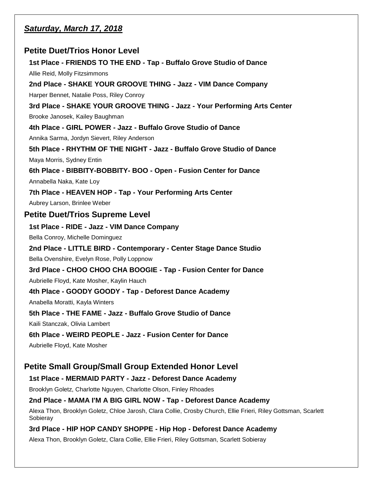# *Saturday, March 17, 2018*

# **Petite Duet/Trios Honor Level**

**1st Place - FRIENDS TO THE END - Tap - Buffalo Grove Studio of Dance** Allie Reid, Molly Fitzsimmons **2nd Place - SHAKE YOUR GROOVE THING - Jazz - VIM Dance Company** Harper Bennet, Natalie Poss, Riley Conroy **3rd Place - SHAKE YOUR GROOVE THING - Jazz - Your Performing Arts Center** Brooke Janosek, Kailey Baughman **4th Place - GIRL POWER - Jazz - Buffalo Grove Studio of Dance** Annika Sarma, Jordyn Sievert, Riley Anderson **5th Place - RHYTHM OF THE NIGHT - Jazz - Buffalo Grove Studio of Dance** Maya Morris, Sydney Entin **6th Place - BIBBITY-BOBBITY- BOO - Open - Fusion Center for Dance** Annabella Naka, Kate Loy **7th Place - HEAVEN HOP - Tap - Your Performing Arts Center** Aubrey Larson, Brinlee Weber **Petite Duet/Trios Supreme Level 1st Place - RIDE - Jazz - VIM Dance Company** Bella Conroy, Michelle Dominguez **2nd Place - LITTLE BIRD - Contemporary - Center Stage Dance Studio** Bella Ovenshire, Evelyn Rose, Polly Loppnow **3rd Place - CHOO CHOO CHA BOOGIE - Tap - Fusion Center for Dance** Aubrielle Floyd, Kate Mosher, Kaylin Hauch **4th Place - GOODY GOODY - Tap - Deforest Dance Academy** Anabella Moratti, Kayla Winters **5th Place - THE FAME - Jazz - Buffalo Grove Studio of Dance** Kaili Stanczak, Olivia Lambert **6th Place - WEIRD PEOPLE - Jazz - Fusion Center for Dance** Aubrielle Floyd, Kate Mosher

# **Petite Small Group/Small Group Extended Honor Level**

### **1st Place - MERMAID PARTY - Jazz - Deforest Dance Academy**

Brooklyn Goletz, Charlotte Nguyen, Charlotte Olson, Finley Rhoades

### **2nd Place - MAMA I'M A BIG GIRL NOW - Tap - Deforest Dance Academy**

Alexa Thon, Brooklyn Goletz, Chloe Jarosh, Clara Collie, Crosby Church, Ellie Frieri, Riley Gottsman, Scarlett Sobieray

### **3rd Place - HIP HOP CANDY SHOPPE - Hip Hop - Deforest Dance Academy**

Alexa Thon, Brooklyn Goletz, Clara Collie, Ellie Frieri, Riley Gottsman, Scarlett Sobieray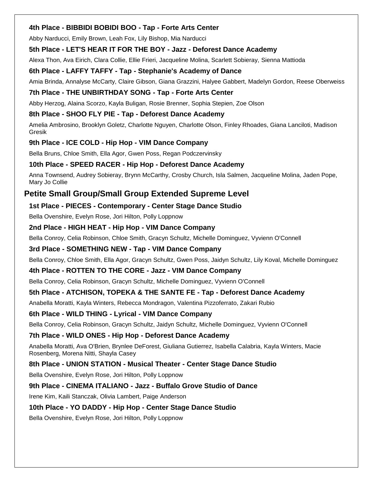### **4th Place - BIBBIDI BOBIDI BOO - Tap - Forte Arts Center**

Abby Narducci, Emily Brown, Leah Fox, Lily Bishop, Mia Narducci

### **5th Place - LET'S HEAR IT FOR THE BOY - Jazz - Deforest Dance Academy**

Alexa Thon, Ava Eirich, Clara Collie, Ellie Frieri, Jacqueline Molina, Scarlett Sobieray, Sienna Mattioda

### **6th Place - LAFFY TAFFY - Tap - Stephanie's Academy of Dance**

Amia Brinda, Annalyse McCarty, Claire Gibson, Giana Grazzini, Halyee Gabbert, Madelyn Gordon, Reese Oberweiss

### **7th Place - THE UNBIRTHDAY SONG - Tap - Forte Arts Center**

Abby Herzog, Alaina Scorzo, Kayla Buligan, Rosie Brenner, Sophia Stepien, Zoe Olson

### **8th Place - SHOO FLY PIE - Tap - Deforest Dance Academy**

Amelia Ambrosino, Brooklyn Goletz, Charlotte Nguyen, Charlotte Olson, Finley Rhoades, Giana Lanciloti, Madison Gresik

### **9th Place - ICE COLD - Hip Hop - VIM Dance Company**

Bella Bruns, Chloe Smith, Ella Agor, Gwen Poss, Regan Podczervinsky

### **10th Place - SPEED RACER - Hip Hop - Deforest Dance Academy**

Anna Townsend, Audrey Sobieray, Brynn McCarthy, Crosby Church, Isla Salmen, Jacqueline Molina, Jaden Pope, Mary Jo Collie

# **Petite Small Group/Small Group Extended Supreme Level**

### **1st Place - PIECES - Contemporary - Center Stage Dance Studio**

Bella Ovenshire, Evelyn Rose, Jori Hilton, Polly Loppnow

### **2nd Place - HIGH HEAT - Hip Hop - VIM Dance Company**

Bella Conroy, Celia Robinson, Chloe Smith, Gracyn Schultz, Michelle Dominguez, Vyvienn O'Connell

### **3rd Place - SOMETHING NEW - Tap - VIM Dance Company**

Bella Conroy, Chloe Smith, Ella Agor, Gracyn Schultz, Gwen Poss, Jaidyn Schultz, Lily Koval, Michelle Dominguez

### **4th Place - ROTTEN TO THE CORE - Jazz - VIM Dance Company**

Bella Conroy, Celia Robinson, Gracyn Schultz, Michelle Dominguez, Vyvienn O'Connell

### **5th Place - ATCHISON, TOPEKA & THE SANTE FE - Tap - Deforest Dance Academy**

Anabella Moratti, Kayla Winters, Rebecca Mondragon, Valentina Pizzoferrato, Zakari Rubio

### **6th Place - WILD THING - Lyrical - VIM Dance Company**

Bella Conroy, Celia Robinson, Gracyn Schultz, Jaidyn Schultz, Michelle Dominguez, Vyvienn O'Connell

### **7th Place - WILD ONES - Hip Hop - Deforest Dance Academy**

Anabella Moratti, Ava O'Brien, Brynlee DeForest, Giuliana Gutierrez, Isabella Calabria, Kayla Winters, Macie Rosenberg, Morena Nitti, Shayla Casey

### **8th Place - UNION STATION - Musical Theater - Center Stage Dance Studio**

Bella Ovenshire, Evelyn Rose, Jori Hilton, Polly Loppnow

### **9th Place - CINEMA ITALIANO - Jazz - Buffalo Grove Studio of Dance**

Irene Kim, Kaili Stanczak, Olivia Lambert, Paige Anderson

### **10th Place - YO DADDY - Hip Hop - Center Stage Dance Studio**

Bella Ovenshire, Evelyn Rose, Jori Hilton, Polly Loppnow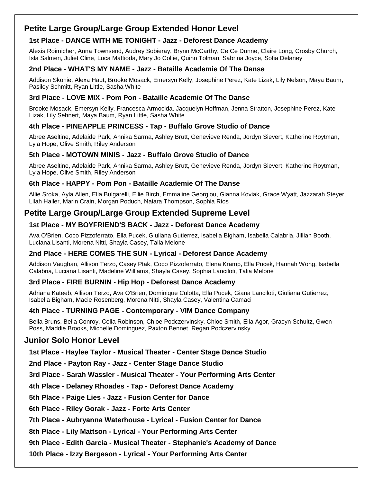# **Petite Large Group/Large Group Extended Honor Level**

### **1st Place - DANCE WITH ME TONIGHT - Jazz - Deforest Dance Academy**

Alexis Roimicher, Anna Townsend, Audrey Sobieray, Brynn McCarthy, Ce Ce Dunne, Claire Long, Crosby Church, Isla Salmen, Juliet Cline, Luca Mattioda, Mary Jo Collie, Quinn Tolman, Sabrina Joyce, Sofia Delaney

### **2nd Place - WHAT'S MY NAME - Jazz - Bataille Academie Of The Danse**

Addison Skonie, Alexa Haut, Brooke Mosack, Emersyn Kelly, Josephine Perez, Kate Lizak, Lily Nelson, Maya Baum, Pasiley Schmitt, Ryan Little, Sasha White

### **3rd Place - LOVE MIX - Pom Pon - Bataille Academie Of The Danse**

Brooke Mosack, Emersyn Kelly, Francesca Armocida, Jacquelyn Hoffman, Jenna Stratton, Josephine Perez, Kate Lizak, Lily Sehnert, Maya Baum, Ryan Little, Sasha White

### **4th Place - PINEAPPLE PRINCESS - Tap - Buffalo Grove Studio of Dance**

Abree Aseltine, Adelaide Park, Annika Sarma, Ashley Brutt, Genevieve Renda, Jordyn Sievert, Katherine Roytman, Lyla Hope, Olive Smith, Riley Anderson

### **5th Place - MOTOWN MINIS - Jazz - Buffalo Grove Studio of Dance**

Abree Aseltine, Adelaide Park, Annika Sarma, Ashley Brutt, Genevieve Renda, Jordyn Sievert, Katherine Roytman, Lyla Hope, Olive Smith, Riley Anderson

### **6th Place - HAPPY - Pom Pon - Bataille Academie Of The Danse**

Allie Sroka, Ayla Allen, Ella Bulgarelli, Ellie Birch, Emmaline Georgiou, Gianna Koviak, Grace Wyatt, Jazzarah Steyer, Lilah Haller, Marin Crain, Morgan Poduch, Naiara Thompson, Sophia Rios

# **Petite Large Group/Large Group Extended Supreme Level**

### **1st Place - MY BOYFRIEND'S BACK - Jazz - Deforest Dance Academy**

Ava O'Brien, Coco Pizzoferrato, Ella Pucek, Giuliana Gutierrez, Isabella Bigham, Isabella Calabria, Jillian Booth, Luciana Lisanti, Morena Nitti, Shayla Casey, Talia Melone

### **2nd Place - HERE COMES THE SUN - Lyrical - Deforest Dance Academy**

Addison Vaughan, Allison Terzo, Casey Ptak, Coco Pizzoferrato, Elena Kramp, Ella Pucek, Hannah Wong, Isabella Calabria, Luciana Lisanti, Madeline Williams, Shayla Casey, Sophia Lanciloti, Talia Melone

### **3rd Place - FIRE BURNIN - Hip Hop - Deforest Dance Academy**

Adriana Kateeb, Allison Terzo, Ava O'Brien, Dominique Culotta, Ella Pucek, Giana Lanciloti, Giuliana Gutierrez, Isabella Bigham, Macie Rosenberg, Morena Nitti, Shayla Casey, Valentina Camaci

### **4th Place - TURNING PAGE - Contemporary - VIM Dance Company**

Bella Bruns, Bella Conroy, Celia Robinson, Chloe Podczervinsky, Chloe Smith, Ella Agor, Gracyn Schultz, Gwen Poss, Maddie Brooks, Michelle Dominguez, Paxton Bennet, Regan Podczervinsky

# **Junior Solo Honor Level**

**1st Place - Haylee Taylor - Musical Theater - Center Stage Dance Studio**

**2nd Place - Payton Ray - Jazz - Center Stage Dance Studio**

**3rd Place - Sarah Wassler - Musical Theater - Your Performing Arts Center**

**4th Place - Delaney Rhoades - Tap - Deforest Dance Academy**

**5th Place - Paige Lies - Jazz - Fusion Center for Dance**

**6th Place - Riley Gorak - Jazz - Forte Arts Center**

**7th Place - Aubryanna Waterhouse - Lyrical - Fusion Center for Dance**

**8th Place - Lily Mattson - Lyrical - Your Performing Arts Center**

**9th Place - Edith Garcia - Musical Theater - Stephanie's Academy of Dance**

**10th Place - Izzy Bergeson - Lyrical - Your Performing Arts Center**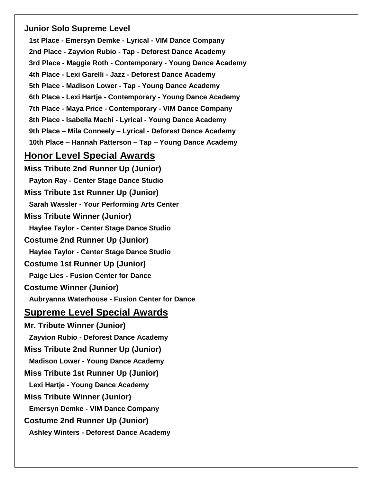# **Junior Solo Supreme Level**

**1st Place - Emersyn Demke - Lyrical - VIM Dance Company 2nd Place - Zayvion Rubio - Tap - Deforest Dance Academy 3rd Place - Maggie Roth - Contemporary - Young Dance Academy 4th Place - Lexi Garelli - Jazz - Deforest Dance Academy 5th Place - Madison Lower - Tap - Young Dance Academy 6th Place - Lexi Hartje - Contemporary - Young Dance Academy 7th Place - Maya Price - Contemporary - VIM Dance Company 8th Place - Isabella Machi - Lyrical - Young Dance Academy 9th Place – Mila Conneely – Lyrical - Deforest Dance Academy 10th Place – Hannah Patterson – Tap – Young Dance Academy**

# **Honor Level Special Awards**

**Miss Tribute 2nd Runner Up (Junior) Payton Ray - Center Stage Dance Studio Miss Tribute 1st Runner Up (Junior) Sarah Wassler - Your Performing Arts Center Miss Tribute Winner (Junior) Haylee Taylor - Center Stage Dance Studio Costume 2nd Runner Up (Junior) Haylee Taylor - Center Stage Dance Studio Costume 1st Runner Up (Junior) Paige Lies - Fusion Center for Dance Costume Winner (Junior) Aubryanna Waterhouse - Fusion Center for Dance Supreme Level Special Awards Mr. Tribute Winner (Junior) Zayvion Rubio - Deforest Dance Academy Miss Tribute 2nd Runner Up (Junior) Madison Lower - Young Dance Academy Miss Tribute 1st Runner Up (Junior) Lexi Hartje - Young Dance Academy Miss Tribute Winner (Junior) Emersyn Demke - VIM Dance Company Costume 2nd Runner Up (Junior) Ashley Winters - Deforest Dance Academy**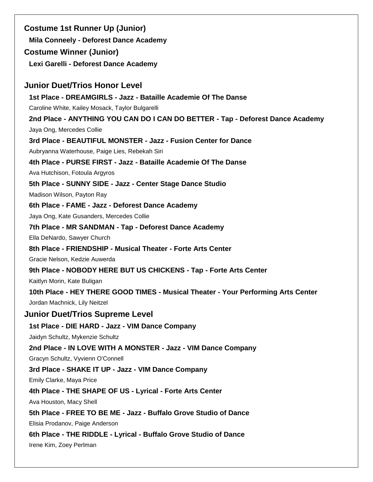**Costume 1st Runner Up (Junior) Mila Conneely - Deforest Dance Academy Costume Winner (Junior) Lexi Garelli - Deforest Dance Academy Junior Duet/Trios Honor Level 1st Place - DREAMGIRLS - Jazz - Bataille Academie Of The Danse** Caroline White, Kailey Mosack, Taylor Bulgarelli **2nd Place - ANYTHING YOU CAN DO I CAN DO BETTER - Tap - Deforest Dance Academy** Jaya Ong, Mercedes Collie **3rd Place - BEAUTIFUL MONSTER - Jazz - Fusion Center for Dance** Aubryanna Waterhouse, Paige Lies, Rebekah Siri **4th Place - PURSE FIRST - Jazz - Bataille Academie Of The Danse** Ava Hutchison, Fotoula Argyros **5th Place - SUNNY SIDE - Jazz - Center Stage Dance Studio** Madison Wilson, Payton Ray **6th Place - FAME - Jazz - Deforest Dance Academy** Jaya Ong, Kate Gusanders, Mercedes Collie **7th Place - MR SANDMAN - Tap - Deforest Dance Academy** Ella DeNardo, Sawyer Church **8th Place - FRIENDSHIP - Musical Theater - Forte Arts Center** Gracie Nelson, Kedzie Auwerda **9th Place - NOBODY HERE BUT US CHICKENS - Tap - Forte Arts Center** Kaitlyn Morin, Kate Buligan **10th Place - HEY THERE GOOD TIMES - Musical Theater - Your Performing Arts Center** Jordan Machnick, Lily Neitzel **Junior Duet/Trios Supreme Level 1st Place - DIE HARD - Jazz - VIM Dance Company** Jaidyn Schultz, Mykenzie Schultz **2nd Place - IN LOVE WITH A MONSTER - Jazz - VIM Dance Company** Gracyn Schultz, Vyvienn O'Connell **3rd Place - SHAKE IT UP - Jazz - VIM Dance Company** Emily Clarke, Maya Price **4th Place - THE SHAPE OF US - Lyrical - Forte Arts Center** Ava Houston, Macy Shell **5th Place - FREE TO BE ME - Jazz - Buffalo Grove Studio of Dance** Elisia Prodanov, Paige Anderson **6th Place - THE RIDDLE - Lyrical - Buffalo Grove Studio of Dance** Irene Kim, Zoey Perlman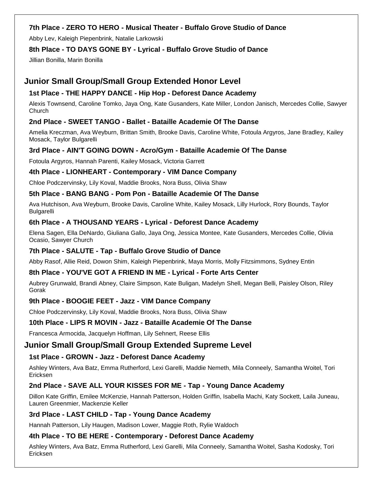### **7th Place - ZERO TO HERO - Musical Theater - Buffalo Grove Studio of Dance**

Abby Lev, Kaleigh Piepenbrink, Natalie Larkowski

### **8th Place - TO DAYS GONE BY - Lyrical - Buffalo Grove Studio of Dance**

Jillian Bonilla, Marin Bonilla

# **Junior Small Group/Small Group Extended Honor Level**

### **1st Place - THE HAPPY DANCE - Hip Hop - Deforest Dance Academy**

Alexis Townsend, Caroline Tomko, Jaya Ong, Kate Gusanders, Kate Miller, London Janisch, Mercedes Collie, Sawyer Church

### **2nd Place - SWEET TANGO - Ballet - Bataille Academie Of The Danse**

Amelia Kreczman, Ava Weyburn, Brittan Smith, Brooke Davis, Caroline White, Fotoula Argyros, Jane Bradley, Kailey Mosack, Taylor Bulgarelli

### **3rd Place - AIN'T GOING DOWN - Acro/Gym - Bataille Academie Of The Danse**

Fotoula Argyros, Hannah Parenti, Kailey Mosack, Victoria Garrett

### **4th Place - LIONHEART - Contemporary - VIM Dance Company**

Chloe Podczervinsky, Lily Koval, Maddie Brooks, Nora Buss, Olivia Shaw

### **5th Place - BANG BANG - Pom Pon - Bataille Academie Of The Danse**

Ava Hutchison, Ava Weyburn, Brooke Davis, Caroline White, Kailey Mosack, Lilly Hurlock, Rory Bounds, Taylor Bulgarelli

### **6th Place - A THOUSAND YEARS - Lyrical - Deforest Dance Academy**

Elena Sagen, Ella DeNardo, Giuliana Gallo, Jaya Ong, Jessica Montee, Kate Gusanders, Mercedes Collie, Olivia Ocasio, Sawyer Church

### **7th Place - SALUTE - Tap - Buffalo Grove Studio of Dance**

Abby Rasof, Allie Reid, Dowon Shim, Kaleigh Piepenbrink, Maya Morris, Molly Fitzsimmons, Sydney Entin

### **8th Place - YOU'VE GOT A FRIEND IN ME - Lyrical - Forte Arts Center**

Aubrey Grunwald, Brandi Abney, Claire Simpson, Kate Buligan, Madelyn Shell, Megan Belli, Paisley Olson, Riley Gorak

### **9th Place - BOOGIE FEET - Jazz - VIM Dance Company**

Chloe Podczervinsky, Lily Koval, Maddie Brooks, Nora Buss, Olivia Shaw

### **10th Place - LIPS R MOVIN - Jazz - Bataille Academie Of The Danse**

Francesca Armocida, Jacquelyn Hoffman, Lily Sehnert, Reese Ellis

# **Junior Small Group/Small Group Extended Supreme Level**

### **1st Place - GROWN - Jazz - Deforest Dance Academy**

Ashley Winters, Ava Batz, Emma Rutherford, Lexi Garelli, Maddie Nemeth, Mila Conneely, Samantha Woitel, Tori Ericksen

### **2nd Place - SAVE ALL YOUR KISSES FOR ME - Tap - Young Dance Academy**

Dillon Kate Griffin, Emilee McKenzie, Hannah Patterson, Holden Griffin, Isabella Machi, Katy Sockett, Laila Juneau, Lauren Greenmier, Mackenzie Keller

### **3rd Place - LAST CHILD - Tap - Young Dance Academy**

Hannah Patterson, Lily Haugen, Madison Lower, Maggie Roth, Rylie Waldoch

### **4th Place - TO BE HERE - Contemporary - Deforest Dance Academy**

Ashley Winters, Ava Batz, Emma Rutherford, Lexi Garelli, Mila Conneely, Samantha Woitel, Sasha Kodosky, Tori Ericksen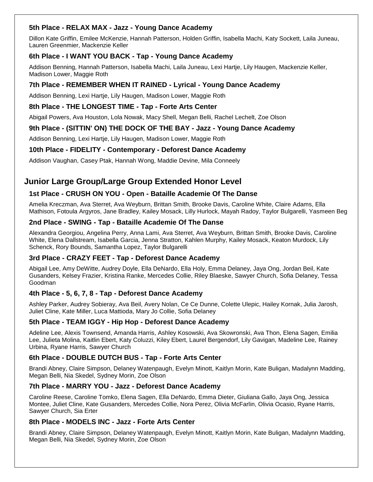### **5th Place - RELAX MAX - Jazz - Young Dance Academy**

Dillon Kate Griffin, Emilee McKenzie, Hannah Patterson, Holden Griffin, Isabella Machi, Katy Sockett, Laila Juneau, Lauren Greenmier, Mackenzie Keller

### **6th Place - I WANT YOU BACK - Tap - Young Dance Academy**

Addison Benning, Hannah Patterson, Isabella Machi, Laila Juneau, Lexi Hartje, Lily Haugen, Mackenzie Keller, Madison Lower, Maggie Roth

### **7th Place - REMEMBER WHEN IT RAINED - Lyrical - Young Dance Academy**

Addison Benning, Lexi Hartje, Lily Haugen, Madison Lower, Maggie Roth

### **8th Place - THE LONGEST TIME - Tap - Forte Arts Center**

Abigail Powers, Ava Houston, Lola Nowak, Macy Shell, Megan Belli, Rachel Lechelt, Zoe Olson

### **9th Place - (SITTIN' ON) THE DOCK OF THE BAY - Jazz - Young Dance Academy**

Addison Benning, Lexi Hartje, Lily Haugen, Madison Lower, Maggie Roth

### **10th Place - FIDELITY - Contemporary - Deforest Dance Academy**

Addison Vaughan, Casey Ptak, Hannah Wong, Maddie Devine, Mila Conneely

# **Junior Large Group/Large Group Extended Honor Level**

### **1st Place - CRUSH ON YOU - Open - Bataille Academie Of The Danse**

Amelia Kreczman, Ava Sterret, Ava Weyburn, Brittan Smith, Brooke Davis, Caroline White, Claire Adams, Ella Mathison, Fotoula Argyros, Jane Bradley, Kailey Mosack, Lilly Hurlock, Mayah Radoy, Taylor Bulgarelli, Yasmeen Beg

### **2nd Place - SWING - Tap - Bataille Academie Of The Danse**

Alexandra Georgiou, Angelina Perry, Anna Lami, Ava Sterret, Ava Weyburn, Brittan Smith, Brooke Davis, Caroline White, Elena Dallstream, Isabella Garcia, Jenna Stratton, Kahlen Murphy, Kailey Mosack, Keaton Murdock, Lily Schenck, Rory Bounds, Samantha Lopez, Taylor Bulgarelli

### **3rd Place - CRAZY FEET - Tap - Deforest Dance Academy**

Abigail Lee, Amy DeWitte, Audrey Doyle, Ella DeNardo, Ella Holy, Emma Delaney, Jaya Ong, Jordan Beil, Kate Gusanders, Kelsey Frazier, Kristina Ranke, Mercedes Collie, Riley Blaeske, Sawyer Church, Sofia Delaney, Tessa Goodman

### **4th Place - 5, 6, 7, 8 - Tap - Deforest Dance Academy**

Ashley Parker, Audrey Sobieray, Ava Beil, Avery Nolan, Ce Ce Dunne, Colette Ulepic, Hailey Kornak, Julia Jarosh, Juliet Cline, Kate Miller, Luca Mattioda, Mary Jo Collie, Sofia Delaney

### **5th Place - TEAM IGGY - Hip Hop - Deforest Dance Academy**

Adeline Lee, Alexis Townsend, Amanda Harris, Ashley Kosowski, Ava Skowronski, Ava Thon, Elena Sagen, Emilia Lee, Julieta Molina, Kaitlin Ebert, Katy Coluzzi, Kiley Ebert, Laurel Bergendorf, Lily Gavigan, Madeline Lee, Rainey Urbina, Ryane Harris, Sawyer Church

### **6th Place - DOUBLE DUTCH BUS - Tap - Forte Arts Center**

Brandi Abney, Claire Simpson, Delaney Watenpaugh, Evelyn Minott, Kaitlyn Morin, Kate Buligan, Madalynn Madding, Megan Belli, Nia Skedel, Sydney Morin, Zoe Olson

### **7th Place - MARRY YOU - Jazz - Deforest Dance Academy**

Caroline Reese, Caroline Tomko, Elena Sagen, Ella DeNardo, Emma Dieter, Giuliana Gallo, Jaya Ong, Jessica Montee, Juliet Cline, Kate Gusanders, Mercedes Collie, Nora Perez, Olivia McFarlin, Olivia Ocasio, Ryane Harris, Sawyer Church, Sia Erter

### **8th Place - MODELS INC - Jazz - Forte Arts Center**

Brandi Abney, Claire Simpson, Delaney Watenpaugh, Evelyn Minott, Kaitlyn Morin, Kate Buligan, Madalynn Madding, Megan Belli, Nia Skedel, Sydney Morin, Zoe Olson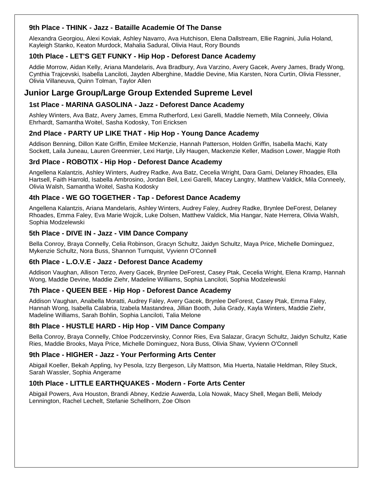### **9th Place - THINK - Jazz - Bataille Academie Of The Danse**

Alexandra Georgiou, Alexi Koviak, Ashley Navarro, Ava Hutchison, Elena Dallstream, Ellie Ragnini, Julia Holand, Kayleigh Stanko, Keaton Murdock, Mahalia Sadural, Olivia Haut, Rory Bounds

### **10th Place - LET'S GET FUNKY - Hip Hop - Deforest Dance Academy**

Addie Morrow, Aidan Kelly, Ariana Mandelaris, Ava Bradbury, Ava Varzino, Avery Gacek, Avery James, Brady Wong, Cynthia Trajcevski, Isabella Lanciloti, Jayden Alberghine, Maddie Devine, Mia Karsten, Nora Curtin, Olivia Flessner, Olivia Villaneuva, Quinn Tolman, Taylor Allen

# **Junior Large Group/Large Group Extended Supreme Level**

### **1st Place - MARINA GASOLINA - Jazz - Deforest Dance Academy**

Ashley Winters, Ava Batz, Avery James, Emma Rutherford, Lexi Garelli, Maddie Nemeth, Mila Conneely, Olivia Ehrhardt, Samantha Woitel, Sasha Kodosky, Tori Ericksen

### **2nd Place - PARTY UP LIKE THAT - Hip Hop - Young Dance Academy**

Addison Benning, Dillon Kate Griffin, Emilee McKenzie, Hannah Patterson, Holden Griffin, Isabella Machi, Katy Sockett, Laila Juneau, Lauren Greenmier, Lexi Hartje, Lily Haugen, Mackenzie Keller, Madison Lower, Maggie Roth

### **3rd Place - ROBOTIX - Hip Hop - Deforest Dance Academy**

Angellena Kalantzis, Ashley Winters, Audrey Radke, Ava Batz, Cecelia Wright, Dara Gami, Delaney Rhoades, Ella Hartsell, Faith Harrold, Isabella Ambrosino, Jordan Beil, Lexi Garelli, Macey Langtry, Matthew Valdick, Mila Conneely, Olivia Walsh, Samantha Woitel, Sasha Kodosky

### **4th Place - WE GO TOGETHER - Tap - Deforest Dance Academy**

Angellena Kalantzis, Ariana Mandelaris, Ashley Winters, Audrey Faley, Audrey Radke, Brynlee DeForest, Delaney Rhoades, Emma Faley, Eva Marie Wojcik, Luke Dolsen, Matthew Valdick, Mia Hangar, Nate Herrera, Olivia Walsh, Sophia Modzelewski

### **5th Place - DIVE IN - Jazz - VIM Dance Company**

Bella Conroy, Braya Connelly, Celia Robinson, Gracyn Schultz, Jaidyn Schultz, Maya Price, Michelle Dominguez, Mykenzie Schultz, Nora Buss, Shannon Turnquist, Vyvienn O'Connell

### **6th Place - L.O.V.E - Jazz - Deforest Dance Academy**

Addison Vaughan, Allison Terzo, Avery Gacek, Brynlee DeForest, Casey Ptak, Cecelia Wright, Elena Kramp, Hannah Wong, Maddie Devine, Maddie Ziehr, Madeline Williams, Sophia Lanciloti, Sophia Modzelewski

### **7th Place - QUEEN BEE - Hip Hop - Deforest Dance Academy**

Addison Vaughan, Anabella Moratti, Audrey Faley, Avery Gacek, Brynlee DeForest, Casey Ptak, Emma Faley, Hannah Wong, Isabella Calabria, Izabela Mastandrea, Jillian Booth, Julia Grady, Kayla Winters, Maddie Ziehr, Madeline Williams, Sarah Bohlin, Sophia Lanciloti, Talia Melone

### **8th Place - HUSTLE HARD - Hip Hop - VIM Dance Company**

Bella Conroy, Braya Connelly, Chloe Podczervinsky, Connor Ries, Eva Salazar, Gracyn Schultz, Jaidyn Schultz, Katie Ries, Maddie Brooks, Maya Price, Michelle Dominguez, Nora Buss, Olivia Shaw, Vyvienn O'Connell

### **9th Place - HIGHER - Jazz - Your Performing Arts Center**

Abigail Koeller, Bekah Appling, Ivy Pesola, Izzy Bergeson, Lily Mattson, Mia Huerta, Natalie Heldman, Riley Stuck, Sarah Wassler, Sophia Angerame

### **10th Place - LITTLE EARTHQUAKES - Modern - Forte Arts Center**

Abigail Powers, Ava Houston, Brandi Abney, Kedzie Auwerda, Lola Nowak, Macy Shell, Megan Belli, Melody Lennington, Rachel Lechelt, Stefanie Schellhorn, Zoe Olson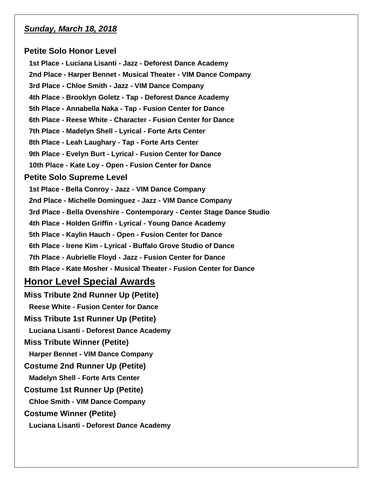# *Sunday, March 18, 2018*

### **Petite Solo Honor Level**

**1st Place - Luciana Lisanti - Jazz - Deforest Dance Academy 2nd Place - Harper Bennet - Musical Theater - VIM Dance Company 3rd Place - Chloe Smith - Jazz - VIM Dance Company 4th Place - Brooklyn Goletz - Tap - Deforest Dance Academy 5th Place - Annabella Naka - Tap - Fusion Center for Dance 6th Place - Reese White - Character - Fusion Center for Dance 7th Place - Madelyn Shell - Lyrical - Forte Arts Center 8th Place - Leah Laughary - Tap - Forte Arts Center 9th Place - Evelyn Burt - Lyrical - Fusion Center for Dance 10th Place - Kate Loy - Open - Fusion Center for Dance Petite Solo Supreme Level 1st Place - Bella Conroy - Jazz - VIM Dance Company 2nd Place - Michelle Dominguez - Jazz - VIM Dance Company 3rd Place - Bella Ovenshire - Contemporary - Center Stage Dance Studio 4th Place - Holden Griffin - Lyrical - Young Dance Academy 5th Place - Kaylin Hauch - Open - Fusion Center for Dance 6th Place - Irene Kim - Lyrical - Buffalo Grove Studio of Dance 7th Place - Aubrielle Floyd - Jazz - Fusion Center for Dance 8th Place - Kate Mosher - Musical Theater - Fusion Center for Dance Honor Level Special Awards**

**Miss Tribute 2nd Runner Up (Petite) Reese White - Fusion Center for Dance Miss Tribute 1st Runner Up (Petite) Luciana Lisanti - Deforest Dance Academy Miss Tribute Winner (Petite) Harper Bennet - VIM Dance Company Costume 2nd Runner Up (Petite) Madelyn Shell - Forte Arts Center Costume 1st Runner Up (Petite) Chloe Smith - VIM Dance Company Costume Winner (Petite) Luciana Lisanti - Deforest Dance Academy**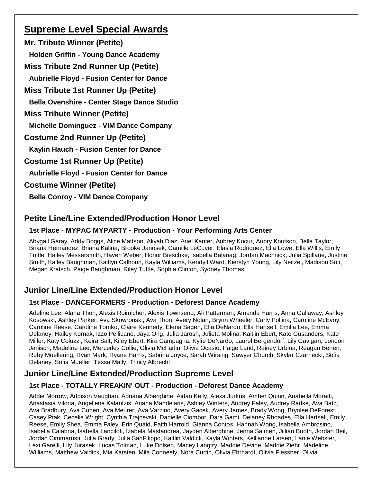# **Supreme Level Special Awards**

**Mr. Tribute Winner (Petite) Holden Griffin - Young Dance Academy Miss Tribute 2nd Runner Up (Petite) Aubrielle Floyd - Fusion Center for Dance Miss Tribute 1st Runner Up (Petite) Bella Ovenshire - Center Stage Dance Studio Miss Tribute Winner (Petite) Michelle Dominguez - VIM Dance Company Costume 2nd Runner Up (Petite) Kaylin Hauch - Fusion Center for Dance Costume 1st Runner Up (Petite) Aubrielle Floyd - Fusion Center for Dance Costume Winner (Petite) Bella Conroy - VIM Dance Company**

# **Petite Line/Line Extended/Production Honor Level**

# **1st Place - MYPAC MYPARTY - Production - Your Performing Arts Center**

Abygail Garay, Addy Boggs, Alice Mattson, Aliyah Diaz, Ariel Kanter, Aubrey Kocur, Aubry Knutson, Bella Taylor, Briana Hernandez, Briana Kalina, Brooke Janosek, Camille LeCuyer, Elasia Rodriquez, Ella Lowe, Ella Willis, Emily Tuttle, Hailey Messersmith, Haven Weber, Honor Bieschke, Isabella Balanag, Jordan Machnick, Julia Spillane, Justine Smith, Kailey Baughman, Kaitlyn Calhoun, Kayla Williams, Kendyll Ward, Kierstyn Young, Lily Neitzel, Madison Soti, Megan Kratsch, Paige Baughman, Riley Tuttle, Sophia Clinton, Sydney Thomas

# **Junior Line/Line Extended/Production Honor Level**

# **1st Place - DANCEFORMERS - Production - Deforest Dance Academy**

Adeline Lee, Alana Thon, Alexis Roimicher, Alexis Townsend, Ali Patterman, Amanda Harris, Anna Gallaway, Ashley Kosowski, Ashley Parker, Ava Skowronski, Ava Thon, Avery Nolan, Brynn Wheeler, Carly Pollina, Caroline McEvoy, Caroline Reese, Caroline Tomko, Claire Kennedy, Elena Sagen, Ella DeNardo, Ella Hartsell, Emilia Lee, Emma Delaney, Hailey Kornak, Izzo Pellicano, Jaya Ong, Julia Jarosh, Julieta Molina, Kaitlin Ebert, Kate Gusanders, Kate Miller, Katy Coluzzi, Keira Salt, Kiley Ebert, Kira Campagna, Kylie DeNardo, Laurel Bergendorf, Lily Gavigan, London Janisch, Madeline Lee, Mercedes Collie, Olivia McFarlin, Olivia Ocasio, Paige Land, Rainey Urbina, Reagan Behen, Ruby Moellering, Ryan Mark, Ryane Harris, Sabrina Joyce, Sarah Wirsing, Sawyer Church, Skylar Czarnecki, Sofia Delaney, Sofia Mueller, Tessa Mally, Trinity Albrecht

# **Junior Line/Line Extended/Production Supreme Level**

# **1st Place - TOTALLY FREAKIN' OUT - Production - Deforest Dance Academy**

Addie Morrow, Addison Vaughan, Adriana Alberghine, Aidan Kelly, Alexa Jurkus, Amber Quinn, Anabella Moratti, Anastasia Vilona, Angellena Kalantzis, Ariana Mandelaris, Ashley Winters, Audrey Faley, Audrey Radke, Ava Batz, Ava Bradbury, Ava Cohen, Ava Meurer, Ava Varzino, Avery Gacek, Avery James, Brady Wong, Brynlee DeForest, Casey Ptak, Cecelia Wright, Cynthia Trajcevski, Danielle Ciombor, Dara Gami, Delaney Rhoades, Ella Hartsell, Emily Reese, Emily Shea, Emma Faley, Erin Quaid, Faith Harrold, Gianna Contos, Hannah Wong, Isabella Ambrosino, Isabella Calabria, Isabella Lanciloti, Izabela Mastandrea, Jayden Alberghine, Jenna Salmen, Jillian Booth, Jordan Beil, Jordan Cimmarusti, Julia Grady, Julia SanFilippo, Kaitlin Valdick, Kayla Winters, Kellianne Larsen, Lanie Webster, Lexi Garelli, Lily Jurasek, Lucas Tolman, Luke Dolsen, Macey Langtry, Maddie Devine, Maddie Ziehr, Madeline Williams, Matthew Valdick, Mia Karsten, Mila Conneely, Nora Curtin, Olivia Ehrhardt, Olivia Flessner, Olivia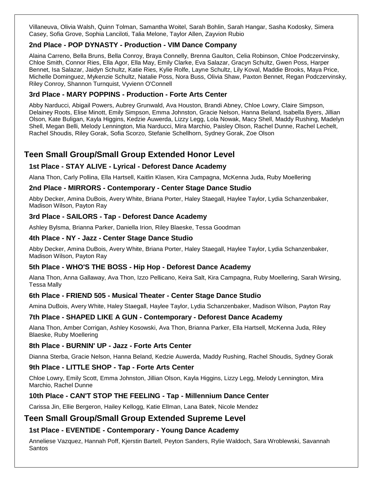Villaneuva, Olivia Walsh, Quinn Tolman, Samantha Woitel, Sarah Bohlin, Sarah Hangar, Sasha Kodosky, Simera Casey, Sofia Grove, Sophia Lanciloti, Talia Melone, Taylor Allen, Zayvion Rubio

### **2nd Place - POP DYNASTY - Production - VIM Dance Company**

Alaina Carreno, Bella Bruns, Bella Conroy, Braya Connelly, Brenna Gaulton, Celia Robinson, Chloe Podczervinsky, Chloe Smith, Connor Ries, Ella Agor, Ella May, Emily Clarke, Eva Salazar, Gracyn Schultz, Gwen Poss, Harper Bennet, Isa Salazar, Jaidyn Schultz, Katie Ries, Kylie Rolfe, Layne Schultz, Lily Koval, Maddie Brooks, Maya Price, Michelle Dominguez, Mykenzie Schultz, Natalie Poss, Nora Buss, Olivia Shaw, Paxton Bennet, Regan Podczervinsky, Riley Conroy, Shannon Turnquist, Vyvienn O'Connell

### **3rd Place - MARY POPPINS - Production - Forte Arts Center**

Abby Narducci, Abigail Powers, Aubrey Grunwald, Ava Houston, Brandi Abney, Chloe Lowry, Claire Simpson, Delainey Roots, Elise Minott, Emily Simpson, Emma Johnston, Gracie Nelson, Hanna Beland, Isabella Byers, Jillian Olson, Kate Buligan, Kayla Higgins, Kedzie Auwerda, Lizzy Legg, Lola Nowak, Macy Shell, Maddy Rushing, Madelyn Shell, Megan Belli, Melody Lennington, Mia Narducci, Mira Marchio, Paisley Olson, Rachel Dunne, Rachel Lechelt, Rachel Shoudis, Riley Gorak, Sofia Scorzo, Stefanie Schellhorn, Sydney Gorak, Zoe Olson

# **Teen Small Group/Small Group Extended Honor Level**

### **1st Place - STAY ALIVE - Lyrical - Deforest Dance Academy**

Alana Thon, Carly Pollina, Ella Hartsell, Kaitlin Klasen, Kira Campagna, McKenna Juda, Ruby Moellering

### **2nd Place - MIRRORS - Contemporary - Center Stage Dance Studio**

Abby Decker, Amina DuBois, Avery White, Briana Porter, Haley Staegall, Haylee Taylor, Lydia Schanzenbaker, Madison Wilson, Payton Ray

### **3rd Place - SAILORS - Tap - Deforest Dance Academy**

Ashley Bylsma, Brianna Parker, Daniella Irion, Riley Blaeske, Tessa Goodman

### **4th Place - NY - Jazz - Center Stage Dance Studio**

Abby Decker, Amina DuBois, Avery White, Briana Porter, Haley Staegall, Haylee Taylor, Lydia Schanzenbaker, Madison Wilson, Payton Ray

### **5th Place - WHO'S THE BOSS - Hip Hop - Deforest Dance Academy**

Alana Thon, Anna Gallaway, Ava Thon, Izzo Pellicano, Keira Salt, Kira Campagna, Ruby Moellering, Sarah Wirsing, Tessa Mally

### **6th Place - FRIEND 505 - Musical Theater - Center Stage Dance Studio**

Amina DuBois, Avery White, Haley Staegall, Haylee Taylor, Lydia Schanzenbaker, Madison Wilson, Payton Ray

### **7th Place - SHAPED LIKE A GUN - Contemporary - Deforest Dance Academy**

Alana Thon, Amber Corrigan, Ashley Kosowski, Ava Thon, Brianna Parker, Ella Hartsell, McKenna Juda, Riley Blaeske, Ruby Moellering

### **8th Place - BURNIN' UP - Jazz - Forte Arts Center**

Dianna Sterba, Gracie Nelson, Hanna Beland, Kedzie Auwerda, Maddy Rushing, Rachel Shoudis, Sydney Gorak

### **9th Place - LITTLE SHOP - Tap - Forte Arts Center**

Chloe Lowry, Emily Scott, Emma Johnston, Jillian Olson, Kayla Higgins, Lizzy Legg, Melody Lennington, Mira Marchio, Rachel Dunne

### **10th Place - CAN'T STOP THE FEELING - Tap - Millennium Dance Center**

Carissa Jin, Ellie Bergeron, Hailey Kellogg, Katie Ellman, Lana Batek, Nicole Mendez

### **Teen Small Group/Small Group Extended Supreme Level**

### **1st Place - EVENTIDE - Contemporary - Young Dance Academy**

Anneliese Vazquez, Hannah Poff, Kjerstin Bartell, Peyton Sanders, Rylie Waldoch, Sara Wroblewski, Savannah **Santos**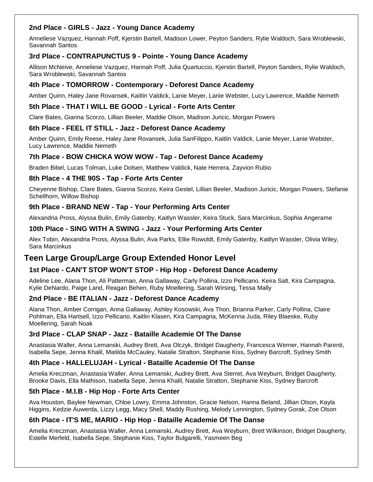### **2nd Place - GIRLS - Jazz - Young Dance Academy**

Anneliese Vazquez, Hannah Poff, Kjerstin Bartell, Madison Lower, Peyton Sanders, Rylie Waldoch, Sara Wroblewski, Savannah Santos

### **3rd Place - CONTRAPUNCTUS 9 - Pointe - Young Dance Academy**

Allison McNeive, Anneliese Vazquez, Hannah Poff, Julia Quartuccio, Kjerstin Bartell, Peyton Sanders, Rylie Waldoch, Sara Wroblewski, Savannah Santos

### **4th Place - TOMORROW - Contemporary - Deforest Dance Academy**

Amber Quinn, Haley Jane Rovansek, Kaitlin Valdick, Lanie Meyer, Lanie Webster, Lucy Lawrence, Maddie Nemeth

### **5th Place - THAT I WILL BE GOOD - Lyrical - Forte Arts Center**

Clare Bates, Gianna Scorzo, Lillian Beeler, Maddie Olson, Madison Juricic, Morgan Powers

### **6th Place - FEEL IT STILL - Jazz - Deforest Dance Academy**

Amber Quinn, Emily Reese, Haley Jane Rovansek, Julia SanFilippo, Kaitlin Valdick, Lanie Meyer, Lanie Webster, Lucy Lawrence, Maddie Nemeth

### **7th Place - BOW CHICKA WOW WOW - Tap - Deforest Dance Academy**

Braden Bibel, Lucas Tolman, Luke Dolsen, Matthew Valdick, Nate Herrera, Zayvion Rubio

### **8th Place - 4 THE 90S - Tap - Forte Arts Center**

Cheyenne Bishop, Clare Bates, Gianna Scorzo, Keira Gestel, Lillian Beeler, Madison Juricic, Morgan Powers, Stefanie Schellhorn, Willow Bishop

### **9th Place - BRAND NEW - Tap - Your Performing Arts Center**

Alexandria Pross, Alyssa Bulin, Emily Gatenby, Kaitlyn Wassler, Keira Stuck, Sara Marcinkus, Sophia Angerame

### **10th Place - SING WITH A SWING - Jazz - Your Performing Arts Center**

Alex Tobin, Alexandria Pross, Alyssa Bulin, Ava Parks, Ellie Rowoldt, Emily Gatenby, Kaitlyn Wassler, Olivia Wiley, Sara Marcinkus

# **Teen Large Group/Large Group Extended Honor Level**

### **1st Place - CAN'T STOP WON'T STOP - Hip Hop - Deforest Dance Academy**

Adeline Lee, Alana Thon, Ali Patterman, Anna Gallaway, Carly Pollina, Izzo Pellicano, Keira Salt, Kira Campagna, Kylie DeNardo, Paige Land, Reagan Behen, Ruby Moellering, Sarah Wirsing, Tessa Mally

### **2nd Place - BE ITALIAN - Jazz - Deforest Dance Academy**

Alana Thon, Amber Corrigan, Anna Gallaway, Ashley Kosowski, Ava Thon, Brianna Parker, Carly Pollina, Claire Pohlman, Ella Hartsell, Izzo Pellicano, Kaitlin Klasen, Kira Campagna, McKenna Juda, Riley Blaeske, Ruby Moellering, Sarah Noak

### **3rd Place - CLAP SNAP - Jazz - Bataille Academie Of The Danse**

Anastasia Waller, Anna Lemanski, Audrey Brett, Ava Olczyk, Bridget Daugherty, Francesca Werner, Hannah Parenti, Isabella Sepe, Jenna Khalil, Matilda McCauley, Natalie Stratton, Stephanie Kiss, Sydney Barcroft, Sydney Smith

### **4th Place - HALLELUJAH - Lyrical - Bataille Academie Of The Danse**

Amelia Kreczman, Anastasia Waller, Anna Lemanski, Audrey Brett, Ava Sterret, Ava Weyburn, Bridget Daugherty, Brooke Davis, Ella Mathison, Isabella Sepe, Jenna Khalil, Natalie Stratton, Stephanie Kiss, Sydney Barcroft

### **5th Place - M.I.B - Hip Hop - Forte Arts Center**

Ava Houston, Baylee Newman, Chloe Lowry, Emma Johnston, Gracie Nelson, Hanna Beland, Jillian Olson, Kayla Higgins, Kedzie Auwerda, Lizzy Legg, Macy Shell, Maddy Rushing, Melody Lennington, Sydney Gorak, Zoe Olson

### **6th Place - IT'S ME, MARIO - Hip Hop - Bataille Academie Of The Danse**

Amelia Kreczman, Anastasia Waller, Anna Lemanski, Audrey Brett, Ava Weyburn, Brett Wilkinson, Bridget Daugherty, Estelle Merfeld, Isabella Sepe, Stephanie Kiss, Taylor Bulgarelli, Yasmeen Beg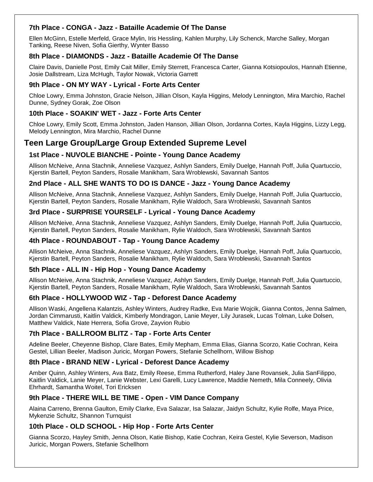### **7th Place - CONGA - Jazz - Bataille Academie Of The Danse**

Ellen McGinn, Estelle Merfeld, Grace Mylin, Iris Hessling, Kahlen Murphy, Lily Schenck, Marche Salley, Morgan Tanking, Reese Niven, Sofia Gierthy, Wynter Basso

### **8th Place - DIAMONDS - Jazz - Bataille Academie Of The Danse**

Claire Davis, Danielle Post, Emily Cait Miller, Emily Sterrett, Francesca Carter, Gianna Kotsiopoulos, Hannah Etienne, Josie Dallstream, Liza McHugh, Taylor Nowak, Victoria Garrett

### **9th Place - ON MY WAY - Lyrical - Forte Arts Center**

Chloe Lowry, Emma Johnston, Gracie Nelson, Jillian Olson, Kayla Higgins, Melody Lennington, Mira Marchio, Rachel Dunne, Sydney Gorak, Zoe Olson

### **10th Place - SOAKIN' WET - Jazz - Forte Arts Center**

Chloe Lowry, Emily Scott, Emma Johnston, Jaden Hanson, Jillian Olson, Jordanna Cortes, Kayla Higgins, Lizzy Legg, Melody Lennington, Mira Marchio, Rachel Dunne

# **Teen Large Group/Large Group Extended Supreme Level**

### **1st Place - NUVOLE BIANCHE - Pointe - Young Dance Academy**

Allison McNeive, Anna Stachnik, Anneliese Vazquez, Ashlyn Sanders, Emily Duelge, Hannah Poff, Julia Quartuccio, Kjerstin Bartell, Peyton Sanders, Rosalie Manikham, Sara Wroblewski, Savannah Santos

### **2nd Place - ALL SHE WANTS TO DO IS DANCE - Jazz - Young Dance Academy**

Allison McNeive, Anna Stachnik, Anneliese Vazquez, Ashlyn Sanders, Emily Duelge, Hannah Poff, Julia Quartuccio, Kjerstin Bartell, Peyton Sanders, Rosalie Manikham, Rylie Waldoch, Sara Wroblewski, Savannah Santos

### **3rd Place - SURPRISE YOURSELF - Lyrical - Young Dance Academy**

Allison McNeive, Anna Stachnik, Anneliese Vazquez, Ashlyn Sanders, Emily Duelge, Hannah Poff, Julia Quartuccio, Kjerstin Bartell, Peyton Sanders, Rosalie Manikham, Rylie Waldoch, Sara Wroblewski, Savannah Santos

### **4th Place - ROUNDABOUT - Tap - Young Dance Academy**

Allison McNeive, Anna Stachnik, Anneliese Vazquez, Ashlyn Sanders, Emily Duelge, Hannah Poff, Julia Quartuccio, Kjerstin Bartell, Peyton Sanders, Rosalie Manikham, Rylie Waldoch, Sara Wroblewski, Savannah Santos

### **5th Place - ALL IN - Hip Hop - Young Dance Academy**

Allison McNeive, Anna Stachnik, Anneliese Vazquez, Ashlyn Sanders, Emily Duelge, Hannah Poff, Julia Quartuccio, Kjerstin Bartell, Peyton Sanders, Rosalie Manikham, Rylie Waldoch, Sara Wroblewski, Savannah Santos

### **6th Place - HOLLYWOOD WIZ - Tap - Deforest Dance Academy**

Allison Waski, Angellena Kalantzis, Ashley Winters, Audrey Radke, Eva Marie Wojcik, Gianna Contos, Jenna Salmen, Jordan Cimmarusti, Kaitlin Valdick, Kimberly Mondragon, Lanie Meyer, Lily Jurasek, Lucas Tolman, Luke Dolsen, Matthew Valdick, Nate Herrera, Sofia Grove, Zayvion Rubio

### **7th Place - BALLROOM BLITZ - Tap - Forte Arts Center**

Adeline Beeler, Cheyenne Bishop, Clare Bates, Emily Mepham, Emma Elias, Gianna Scorzo, Katie Cochran, Keira Gestel, Lillian Beeler, Madison Juricic, Morgan Powers, Stefanie Schellhorn, Willow Bishop

### **8th Place - BRAND NEW - Lyrical - Deforest Dance Academy**

Amber Quinn, Ashley Winters, Ava Batz, Emily Reese, Emma Rutherford, Haley Jane Rovansek, Julia SanFilippo, Kaitlin Valdick, Lanie Meyer, Lanie Webster, Lexi Garelli, Lucy Lawrence, Maddie Nemeth, Mila Conneely, Olivia Ehrhardt, Samantha Woitel, Tori Ericksen

### **9th Place - THERE WILL BE TIME - Open - VIM Dance Company**

Alaina Carreno, Brenna Gaulton, Emily Clarke, Eva Salazar, Isa Salazar, Jaidyn Schultz, Kylie Rolfe, Maya Price, Mykenzie Schultz, Shannon Turnquist

### **10th Place - OLD SCHOOL - Hip Hop - Forte Arts Center**

Gianna Scorzo, Hayley Smith, Jenna Olson, Katie Bishop, Katie Cochran, Keira Gestel, Kylie Severson, Madison Juricic, Morgan Powers, Stefanie Schellhorn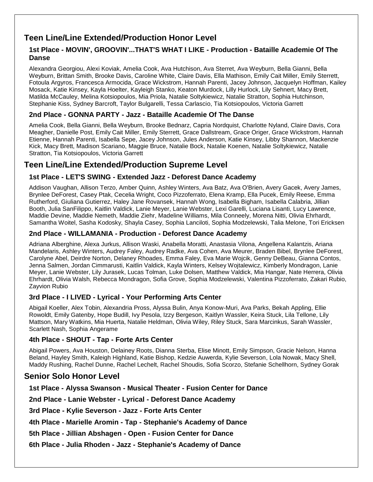# **Teen Line/Line Extended/Production Honor Level**

### **1st Place - MOVIN', GROOVIN'...THAT'S WHAT I LIKE - Production - Bataille Academie Of The Danse**

Alexandra Georgiou, Alexi Koviak, Amelia Cook, Ava Hutchison, Ava Sterret, Ava Weyburn, Bella Gianni, Bella Weyburn, Brittan Smith, Brooke Davis, Caroline White, Claire Davis, Ella Mathison, Emily Cait Miller, Emily Sterrett, Fotoula Argyros, Francesca Armocida, Grace Wickstrom, Hannah Parenti, Jacey Johnson, Jacquelyn Hoffman, Kailey Mosack, Katie Kinsey, Kayla Hoelter, Kayleigh Stanko, Keaton Murdock, Lilly Hurlock, Lily Sehnert, Macy Brett, Matilda McCauley, Melina Kotsiopoulos, Mia Priola, Natalie Soltykiewicz, Natalie Stratton, Sophia Hutchinson, Stephanie Kiss, Sydney Barcroft, Taylor Bulgarelli, Tessa Carlascio, Tia Kotsiopoulos, Victoria Garrett

### **2nd Place - GONNA PARTY - Jazz - Bataille Academie Of The Danse**

Amelia Cook, Bella Gianni, Bella Weyburn, Brooke Bednarz, Capria Nordquist, Charlotte Nyland, Claire Davis, Cora Meagher, Danielle Post, Emily Cait Miller, Emily Sterrett, Grace Dallstream, Grace Origer, Grace Wickstrom, Hannah Etienne, Hannah Parenti, Isabella Sepe, Jacey Johnson, Jules Anderson, Katie Kinsey, Libby Shannon, Mackenzie Kick, Macy Brett, Madison Scariano, Maggie Bruce, Natalie Bock, Natalie Koenen, Natalie Soltykiewicz, Natalie Stratton, Tia Kotsiopoulos, Victoria Garrett

# **Teen Line/Line Extended/Production Supreme Level**

### **1st Place - LET'S SWING - Extended Jazz - Deforest Dance Academy**

Addison Vaughan, Allison Terzo, Amber Quinn, Ashley Winters, Ava Batz, Ava O'Brien, Avery Gacek, Avery James, Brynlee DeForest, Casey Ptak, Cecelia Wright, Coco Pizzoferrato, Elena Kramp, Ella Pucek, Emily Reese, Emma Rutherford, Giuliana Gutierrez, Haley Jane Rovansek, Hannah Wong, Isabella Bigham, Isabella Calabria, Jillian Booth, Julia SanFilippo, Kaitlin Valdick, Lanie Meyer, Lanie Webster, Lexi Garelli, Luciana Lisanti, Lucy Lawrence, Maddie Devine, Maddie Nemeth, Maddie Ziehr, Madeline Williams, Mila Conneely, Morena Nitti, Olivia Ehrhardt, Samantha Woitel, Sasha Kodosky, Shayla Casey, Sophia Lanciloti, Sophia Modzelewski, Talia Melone, Tori Ericksen

### **2nd Place - WILLAMANIA - Production - Deforest Dance Academy**

Adriana Alberghine, Alexa Jurkus, Allison Waski, Anabella Moratti, Anastasia Vilona, Angellena Kalantzis, Ariana Mandelaris, Ashley Winters, Audrey Faley, Audrey Radke, Ava Cohen, Ava Meurer, Braden Bibel, Brynlee DeForest, Carolyne Abel, Deirdre Norton, Delaney Rhoades, Emma Faley, Eva Marie Wojcik, Genny DeBeau, Gianna Contos, Jenna Salmen, Jordan Cimmarusti, Kaitlin Valdick, Kayla Winters, Kelsey Wojtalewicz, Kimberly Mondragon, Lanie Meyer, Lanie Webster, Lily Jurasek, Lucas Tolman, Luke Dolsen, Matthew Valdick, Mia Hangar, Nate Herrera, Olivia Ehrhardt, Olivia Walsh, Rebecca Mondragon, Sofia Grove, Sophia Modzelewski, Valentina Pizzoferrato, Zakari Rubio, Zayvion Rubio

### **3rd Place - I LIVED - Lyrical - Your Performing Arts Center**

Abigail Koeller, Alex Tobin, Alexandria Pross, Alyssa Bulin, Anya Konow-Muri, Ava Parks, Bekah Appling, Ellie Rowoldt, Emily Gatenby, Hope Budill, Ivy Pesola, Izzy Bergeson, Kaitlyn Wassler, Keira Stuck, Lila Tellone, Lily Mattson, Mary Watkins, Mia Huerta, Natalie Heldman, Olivia Wiley, Riley Stuck, Sara Marcinkus, Sarah Wassler, Scarlett Nash, Sophia Angerame

### **4th Place - SHOUT - Tap - Forte Arts Center**

Abigail Powers, Ava Houston, Delainey Roots, Dianna Sterba, Elise Minott, Emily Simpson, Gracie Nelson, Hanna Beland, Hayley Smith, Kaleigh Highland, Katie Bishop, Kedzie Auwerda, Kylie Severson, Lola Nowak, Macy Shell, Maddy Rushing, Rachel Dunne, Rachel Lechelt, Rachel Shoudis, Sofia Scorzo, Stefanie Schellhorn, Sydney Gorak

# **Senior Solo Honor Level**

**1st Place - Alyssa Swanson - Musical Theater - Fusion Center for Dance**

**2nd Place - Lanie Webster - Lyrical - Deforest Dance Academy**

**3rd Place - Kylie Severson - Jazz - Forte Arts Center**

**4th Place - Marielle Aromin - Tap - Stephanie's Academy of Dance**

**5th Place - Jillian Abshagen - Open - Fusion Center for Dance**

**6th Place - Julia Rhoden - Jazz - Stephanie's Academy of Dance**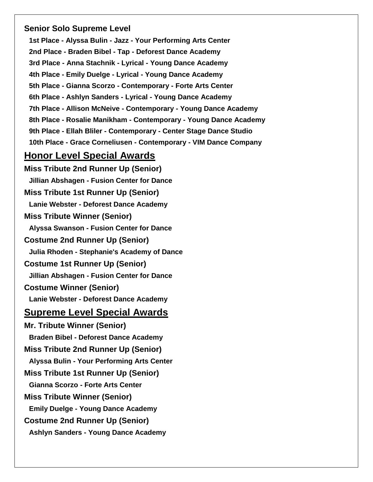# **Senior Solo Supreme Level**

**1st Place - Alyssa Bulin - Jazz - Your Performing Arts Center 2nd Place - Braden Bibel - Tap - Deforest Dance Academy 3rd Place - Anna Stachnik - Lyrical - Young Dance Academy 4th Place - Emily Duelge - Lyrical - Young Dance Academy 5th Place - Gianna Scorzo - Contemporary - Forte Arts Center 6th Place - Ashlyn Sanders - Lyrical - Young Dance Academy 7th Place - Allison McNeive - Contemporary - Young Dance Academy 8th Place - Rosalie Manikham - Contemporary - Young Dance Academy 9th Place - Ellah Bliler - Contemporary - Center Stage Dance Studio 10th Place - Grace Corneliusen - Contemporary - VIM Dance Company**

# **Honor Level Special Awards**

**Miss Tribute 2nd Runner Up (Senior) Jillian Abshagen - Fusion Center for Dance Miss Tribute 1st Runner Up (Senior) Lanie Webster - Deforest Dance Academy Miss Tribute Winner (Senior) Alyssa Swanson - Fusion Center for Dance Costume 2nd Runner Up (Senior) Julia Rhoden - Stephanie's Academy of Dance Costume 1st Runner Up (Senior) Jillian Abshagen - Fusion Center for Dance Costume Winner (Senior) Lanie Webster - Deforest Dance Academy Supreme Level Special Awards Mr. Tribute Winner (Senior) Braden Bibel - Deforest Dance Academy Miss Tribute 2nd Runner Up (Senior) Alyssa Bulin - Your Performing Arts Center Miss Tribute 1st Runner Up (Senior) Gianna Scorzo - Forte Arts Center Miss Tribute Winner (Senior) Emily Duelge - Young Dance Academy Costume 2nd Runner Up (Senior) Ashlyn Sanders - Young Dance Academy**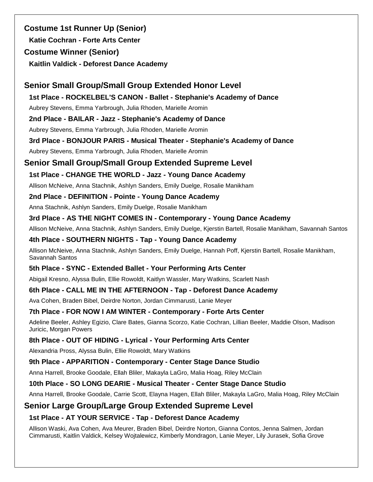**Costume 1st Runner Up (Senior) Katie Cochran - Forte Arts Center Costume Winner (Senior) Kaitlin Valdick - Deforest Dance Academy**

### **Senior Small Group/Small Group Extended Honor Level**

**1st Place - ROCKELBEL'S CANON - Ballet - Stephanie's Academy of Dance**

Aubrey Stevens, Emma Yarbrough, Julia Rhoden, Marielle Aromin

### **2nd Place - BAILAR - Jazz - Stephanie's Academy of Dance**

Aubrey Stevens, Emma Yarbrough, Julia Rhoden, Marielle Aromin

### **3rd Place - BONJOUR PARIS - Musical Theater - Stephanie's Academy of Dance**

Aubrey Stevens, Emma Yarbrough, Julia Rhoden, Marielle Aromin

# **Senior Small Group/Small Group Extended Supreme Level**

### **1st Place - CHANGE THE WORLD - Jazz - Young Dance Academy**

Allison McNeive, Anna Stachnik, Ashlyn Sanders, Emily Duelge, Rosalie Manikham

### **2nd Place - DEFINITION - Pointe - Young Dance Academy**

Anna Stachnik, Ashlyn Sanders, Emily Duelge, Rosalie Manikham

### **3rd Place - AS THE NIGHT COMES IN - Contemporary - Young Dance Academy**

Allison McNeive, Anna Stachnik, Ashlyn Sanders, Emily Duelge, Kjerstin Bartell, Rosalie Manikham, Savannah Santos

### **4th Place - SOUTHERN NIGHTS - Tap - Young Dance Academy**

Allison McNeive, Anna Stachnik, Ashlyn Sanders, Emily Duelge, Hannah Poff, Kjerstin Bartell, Rosalie Manikham, Savannah Santos

### **5th Place - SYNC - Extended Ballet - Your Performing Arts Center**

Abigail Kresno, Alyssa Bulin, Ellie Rowoldt, Kaitlyn Wassler, Mary Watkins, Scarlett Nash

### **6th Place - CALL ME IN THE AFTERNOON - Tap - Deforest Dance Academy**

Ava Cohen, Braden Bibel, Deirdre Norton, Jordan Cimmarusti, Lanie Meyer

### **7th Place - FOR NOW I AM WINTER - Contemporary - Forte Arts Center**

Adeline Beeler, Ashley Egizio, Clare Bates, Gianna Scorzo, Katie Cochran, Lillian Beeler, Maddie Olson, Madison Juricic, Morgan Powers

### **8th Place - OUT OF HIDING - Lyrical - Your Performing Arts Center**

Alexandria Pross, Alyssa Bulin, Ellie Rowoldt, Mary Watkins

### **9th Place - APPARITION - Contemporary - Center Stage Dance Studio**

Anna Harrell, Brooke Goodale, Ellah Bliler, Makayla LaGro, Malia Hoag, Riley McClain

### **10th Place - SO LONG DEARIE - Musical Theater - Center Stage Dance Studio**

Anna Harrell, Brooke Goodale, Carrie Scott, Elayna Hagen, Ellah Bliler, Makayla LaGro, Malia Hoag, Riley McClain

# **Senior Large Group/Large Group Extended Supreme Level**

### **1st Place - AT YOUR SERVICE - Tap - Deforest Dance Academy**

Allison Waski, Ava Cohen, Ava Meurer, Braden Bibel, Deirdre Norton, Gianna Contos, Jenna Salmen, Jordan Cimmarusti, Kaitlin Valdick, Kelsey Wojtalewicz, Kimberly Mondragon, Lanie Meyer, Lily Jurasek, Sofia Grove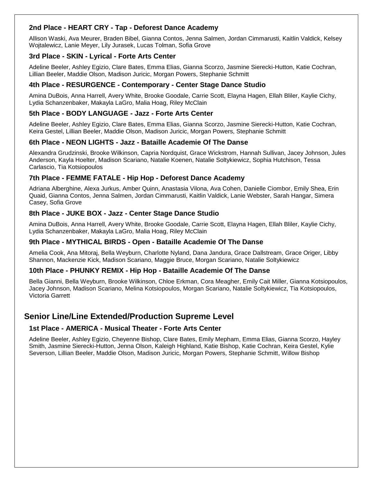### **2nd Place - HEART CRY - Tap - Deforest Dance Academy**

Allison Waski, Ava Meurer, Braden Bibel, Gianna Contos, Jenna Salmen, Jordan Cimmarusti, Kaitlin Valdick, Kelsey Wojtalewicz, Lanie Meyer, Lily Jurasek, Lucas Tolman, Sofia Grove

### **3rd Place - SKIN - Lyrical - Forte Arts Center**

Adeline Beeler, Ashley Egizio, Clare Bates, Emma Elias, Gianna Scorzo, Jasmine Sierecki-Hutton, Katie Cochran, Lillian Beeler, Maddie Olson, Madison Juricic, Morgan Powers, Stephanie Schmitt

### **4th Place - RESURGENCE - Contemporary - Center Stage Dance Studio**

Amina DuBois, Anna Harrell, Avery White, Brooke Goodale, Carrie Scott, Elayna Hagen, Ellah Bliler, Kaylie Cichy, Lydia Schanzenbaker, Makayla LaGro, Malia Hoag, Riley McClain

### **5th Place - BODY LANGUAGE - Jazz - Forte Arts Center**

Adeline Beeler, Ashley Egizio, Clare Bates, Emma Elias, Gianna Scorzo, Jasmine Sierecki-Hutton, Katie Cochran, Keira Gestel, Lillian Beeler, Maddie Olson, Madison Juricic, Morgan Powers, Stephanie Schmitt

### **6th Place - NEON LIGHTS - Jazz - Bataille Academie Of The Danse**

Alexandra Grudzinski, Brooke Wilkinson, Capria Nordquist, Grace Wickstrom, Hannah Sullivan, Jacey Johnson, Jules Anderson, Kayla Hoelter, Madison Scariano, Natalie Koenen, Natalie Soltykiewicz, Sophia Hutchison, Tessa Carlascio, Tia Kotsiopoulos

### **7th Place - FEMME FATALE - Hip Hop - Deforest Dance Academy**

Adriana Alberghine, Alexa Jurkus, Amber Quinn, Anastasia Vilona, Ava Cohen, Danielle Ciombor, Emily Shea, Erin Quaid, Gianna Contos, Jenna Salmen, Jordan Cimmarusti, Kaitlin Valdick, Lanie Webster, Sarah Hangar, Simera Casey, Sofia Grove

### **8th Place - JUKE BOX - Jazz - Center Stage Dance Studio**

Amina DuBois, Anna Harrell, Avery White, Brooke Goodale, Carrie Scott, Elayna Hagen, Ellah Bliler, Kaylie Cichy, Lydia Schanzenbaker, Makayla LaGro, Malia Hoag, Riley McClain

### **9th Place - MYTHICAL BIRDS - Open - Bataille Academie Of The Danse**

Amelia Cook, Ana Mitoraj, Bella Weyburn, Charlotte Nyland, Dana Jandura, Grace Dallstream, Grace Origer, Libby Shannon, Mackenzie Kick, Madison Scariano, Maggie Bruce, Morgan Scariano, Natalie Soltykiewicz

### **10th Place - PHUNKY REMIX - Hip Hop - Bataille Academie Of The Danse**

Bella Gianni, Bella Weyburn, Brooke Wilkinson, Chloe Erkman, Cora Meagher, Emily Cait Miller, Gianna Kotsiopoulos, Jacey Johnson, Madison Scariano, Melina Kotsiopoulos, Morgan Scariano, Natalie Soltykiewicz, Tia Kotsiopoulos, Victoria Garrett

# **Senior Line/Line Extended/Production Supreme Level**

### **1st Place - AMERICA - Musical Theater - Forte Arts Center**

Adeline Beeler, Ashley Egizio, Cheyenne Bishop, Clare Bates, Emily Mepham, Emma Elias, Gianna Scorzo, Hayley Smith, Jasmine Sierecki-Hutton, Jenna Olson, Kaleigh Highland, Katie Bishop, Katie Cochran, Keira Gestel, Kylie Severson, Lillian Beeler, Maddie Olson, Madison Juricic, Morgan Powers, Stephanie Schmitt, Willow Bishop